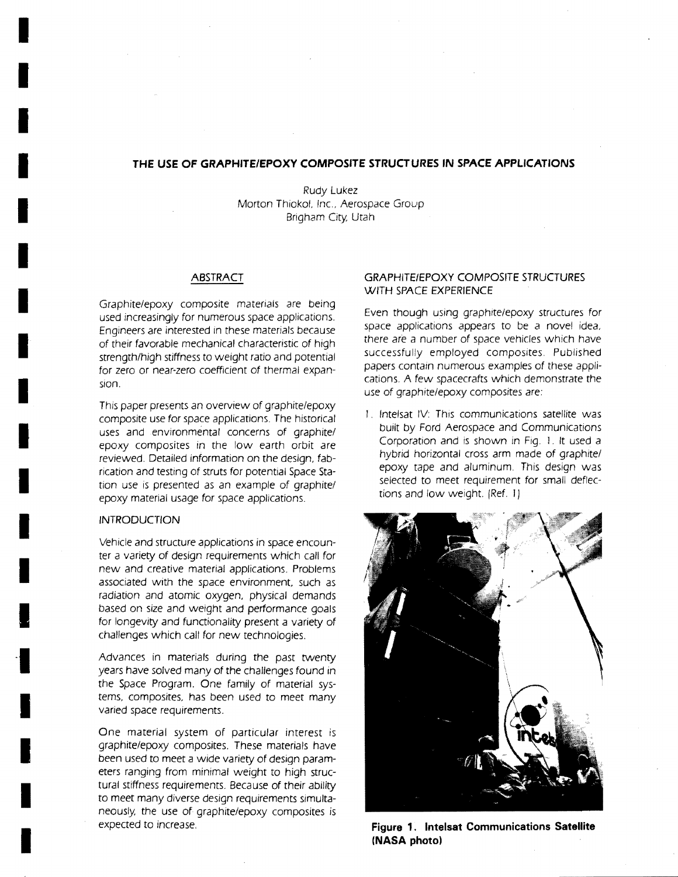# **THE USE OF GRAPHITE/EPOXY COMPOSITE STRUCTURES IN SPACE APPLICATIONS**

Rudy Lukez Morton Thiokol, Inc, Aerospace Group Brigham City Utah

#### ABSTRACT

Graphite/epoxy composite materials are being used increasingly for numerous space applications. Engineers are interested in these materials because of their favorable mechanical characteristic of high strength/high stiffness to weight ratio and potential for zero or near-zero coefficient of thermal expansion.

This paper presents an overview of graphite/epoxy composite use for space applications. The historical uses and environmental concerns of graphite/ epoxy composites in the low earth orbit are reviewed. Detailed information on the design, fabrication and testing of struts for potential Space Station use is presented as an example of graphite/ epoxy material usage for space applications.

#### **INTRODUCTION**

I

I

I

I

I

I

I

I

I

I

I

I

I

I

I

I

I

I

Vehicle and structure applications in space encounter a variety of design requirements which call for new and creative material applications. Problems associated with the space environment, such as radiation and atomic oxygen, physical demands based on size and weight and performance goals for longevity and functionality present a variety of challenges which call for new technologies.

Advances in materials during the past twenty years have solved many of the challenges found in the Space Program. One family of material *sys*tems, composites, has been used to meet many varied space requirements.

One material *system* of particular interest is graphite/epoxy composites. These materials have been used to meet a wide variety of design parameters ranging from minimal weight to high structural stiffness requirements. Because of their ability to meet many diverse design requirements simultaneously the use of graphite/epoxy composites is expected to increase.

## **GRAPHITE/EPOXY COMPOSITE STRUCTURES** WITH SPACE **EXPERIENCE**

Even though using graphite/epoxy structures for space applications appears to be a novel idea, there are a number of space vehicles which have successfully employed composites. Published papers contain numerous examples of these applications. A few spacecrafts which demonstrate the use of graphite/epoxy composites are:

I. Intelsat IV: This communications satellite was built by Ford Aerospace and Communications Corporation and is shown in Fig. I. It used a hybrid horizontal cross arm made of graphite/ epoxy tape and aluminum. This design *was*  selected to meet requirement for small deflections and low weight. (Ref. 1)



**Figure 1. Intelsat Communications Satellite (NASA photo)**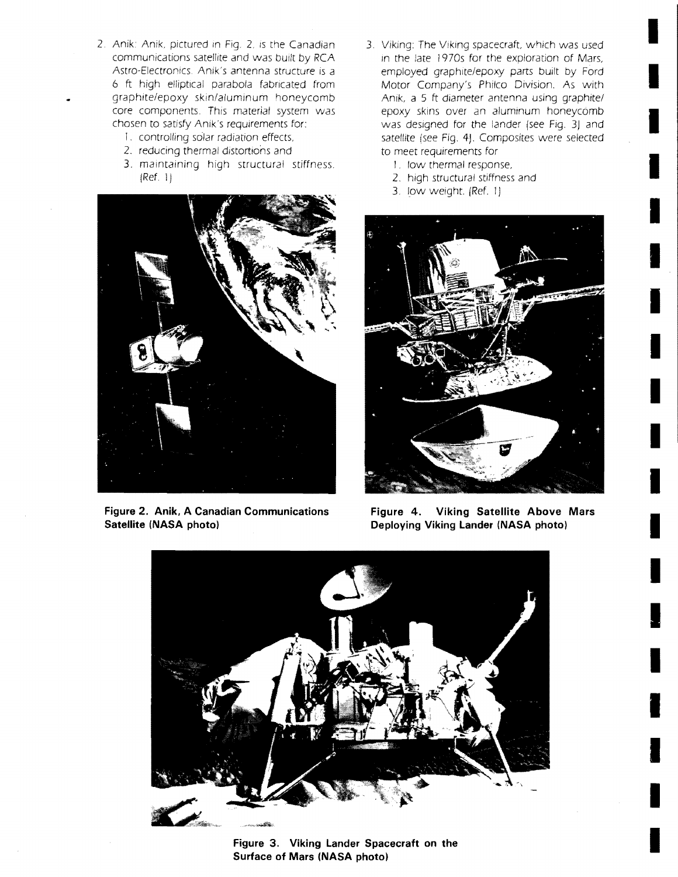- 2. Anik: Anik, pictured in Fig. 2, is the Canadian communications satellite and was built by RCA Astro-Electronics Anik's antenna structure is a 6 ft high elliptical parabola fabricated from graphite/epoxy skin/aluminum honeycomb core components. This material system was chosen to satisfy Anik's requirements for:
	- 1. controlling solar radiation effects,
	- 2. reducing thermal distortions and
	- 3. maintaining high structural stiffness. (Ref. 1)



**Figure 2. Anik, A Canadian Communications Satellite (NASA photo)** 

3. Viking: The Viking spacecraft, which was used in the late 1970s for the exploration of Mars, employed graphite/epoxy parts built by Ford Motor Company's Philco Division. As with Anlk, a 5 ft diameter antenna using graphite/ epoxy skins over an aluminum honeycomb was designed for the lander (see Fig. 3) and satellite (see Fig. 4). Composites were selected to meet requirements for

I

I

I

I

I

I

I

I

I

I

I

I

I

I

I

I

I

I

I

- 1. low thermal response,
- 2. high structural stiffness and
- 3. low weight. (Ref. 1)



**Figure 4. Viking Satellite Above Mars Deploying Viking Lander (NASA photo)** 



**Figure 3. Viking Lander Spacecraft on the Surface of Mars (NASA photo)**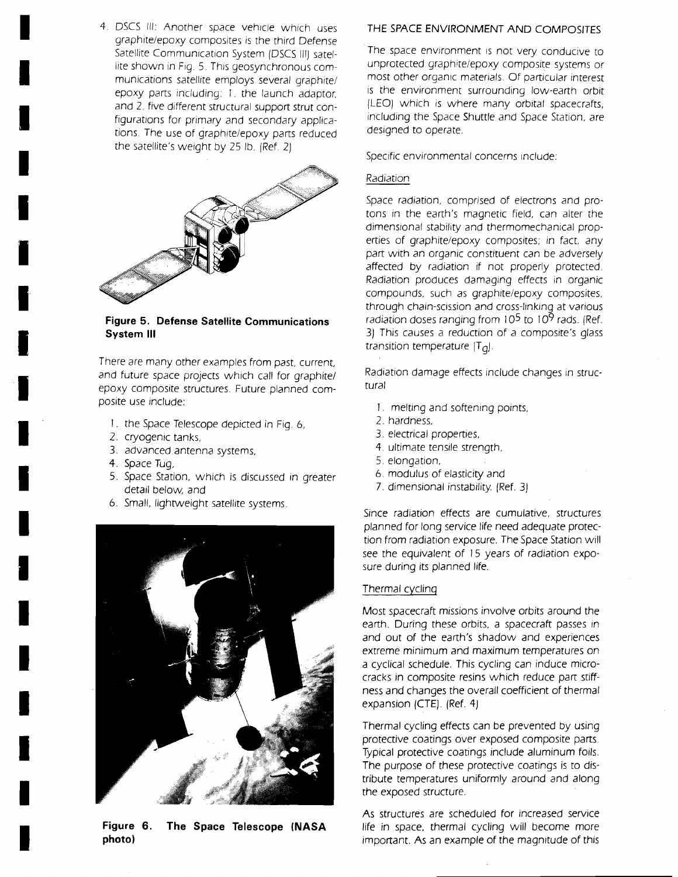4. DSCS III: Another space vehicle which uses graphite/epoxy composites is the third Defense Satellite Communication System [DSCS III) satellite shown in Fig. 5. This geosynchronous communications satellite employs several graphite/ epoxy parts including: 1. the launch adaptor, and 2. five different structural support strut configurations for primary and secondary applications. The use of graphite/epoxy parts reduced the satellite's weight by 25 lb. [Ref. 2)



**Figure 5. Defense Satellite Communications System III** 

There are many other examples from past, current, and future space projects which call for graphite/ epoxy composite structures. Future planned composite use include:

- 1. the Space Telescope depicted in Fig. 6,
- 2. cryogenic tanks,
- 3. advanced.antenna systems,
- 4. Space Tug,

I

I

I

I

I

I

I

I

I

I

I

I

I

I

I

I

I

I

I

- 5. Space Station, which is discussed in greater detail below, and
- 6. Small, lightweight satellite systems.



**Figure 6. The Space Telescope (NASA photo)** 

# THE SPACE ENVIRONMENT AND COMPOSITES

The space environment is not very conducive to unprotected graphite/epoxy composite systems or most other organic materials. Of particular interest is the environment surrounding low-earth orbit (LEO) which is where many orbital spacecrafts, including the Space Shuttle and Space Station, are designed to operate.

Specific environmental concerns include:

# Radiation

Space radiation, comprised of electrons and protons in the earth's magnetic field, can alter the dimensional stability and thermomechanical properties of graphite/epoxy composites; in fact, any part with an organic constituent can be adversely affected by radiation if not properly protected. Radiation produces damaging effects in organic compounds, such as graphite/epoxy composites, through chain-scission and cross-linking at various radiation doses ranging from  $10<sup>5</sup>$  to  $10<sup>9</sup>$  rads. (Ref. 3) This causes a reduction of a composite's glass transition temperature  $[T_{q}]$ .

Radiation damage effects include changes in structural

- 1. melting and softening points,
- 2. hardness,
- 3. electrical properties,
- 4. ultimate tensile strength,
- 5. elongation,
- 6. modulus of elasticity and
- 7. dimensional instability. [Ref. 3)

Since radiation effects are cumulative, structures planned for long service life need adequate protection from radiation exposure. The Space Station will *see* the equivalent of 15 years of radiation exposure during its planned life.

# Thermal cycling

Most spacecraft missions involve orbits around the earth. During these orbits, a spacecraft passes in and out of the earth's shadow and experiences extreme minimum and maximum temperatures on a cyclical schedule. This cycling can induce microcracks in composite resins which reduce part stiffness and changes the overall coefficient of thermal expansion (CTE). (Ref. 4)

Thermal cycling effects can be prevented by using protective coatings over exposed composite parts. Typical protective coatings include aluminum foils. The purpose of these protective coatings is to distribute temperatures uniformly around and along the exposed structure.

As structures are scheduled for increased service life in space, thermal cycling will become more important. As an example of the magnitude of this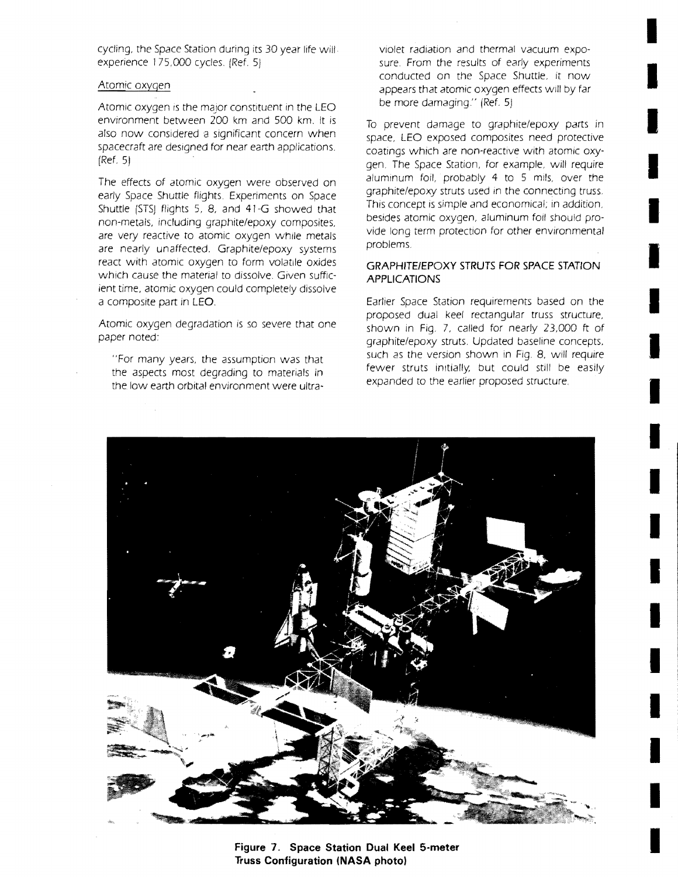cycling, the Space Station during its 30 year life will. experience 175,000 cycles. (Ref. 5)

## Atomic oxygen

Atomic oxygen is the major constituent in the LEO environment between 200 km and 500 km. It is also now considered a significant concern when spacecraft are designed for near earth applications. (Ref. 5)

The effects of atomic oxygen were observed on early Space Shuttle flights. Experiments on Space Shuttle (STS) flights 5, 8, and 4J-G showed that non-metals, including graphite/epoxy composites, are very reactive to atomic oxygen while metals are nearly unaffected, Graphite/epoxy systems react with atomic oxygen to form volatile oxides which cause the material to dissolve. Given sufficient time, atomic oxygen could completely dissolve a composite part in LEO,

Atomic oxygen degradation is so severe that one paper noted:

"For many years, the assumption was that the aspects most degrading to materials in the low earth orbital environment were ultraViolet radiation and thermal vacuum exposure. From the results of early experiments conducted on the Space Shuttle, it now appears that atomic oxygen effects will by far be more damaging." (Ref. 5)

I

I

I

I

I

I

I

I

I

I

I

I

I

I

I

I

I

I

I

To prevent damage to graphite/epoxy parts in space, LEO exposed composites need protective coatings which are non-reactive with atomic oxygen. The Space Station, for example, will require aluminum foil, probably 4 to 5 mils, over the graphite/epoxy struts used in the connecting truss. This concept is simple and economical; in addition, besides atomic oxygen, aluminum foil should provide long term protection for other environmental problems.

## **GRAPHITE/EPOXY STRUTS FOR SPACE STATION APPLICATIONS**

Earlier Space Station requirements based on the proposed dual keel rectangular truss structure, shown in Fig. 7, called for nearly 23,000 ft of graphite/epoxy struts. Updated baseline concepts, such as the version shown in Fig. 8, will require fewer struts initially, but could still be easily expanded to the earlier proposed structure.



**Figure 7, Space Station Dual Keel 5-meter Truss Configuration (NASA photo)**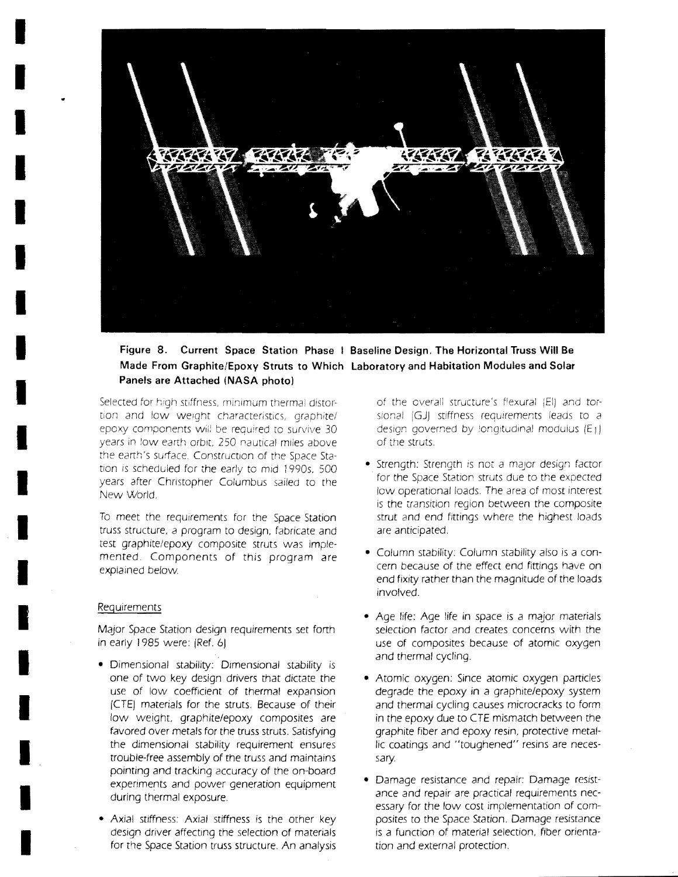

# **Figure 8. Current Space Station Phase I Baseline Design. The Horizontal Truss Will Be Made From Graphite/Epoxy Struts to Which Laboratory and Habitation Modules and Solar Panels are Attached (NASA photo)**

Selected for high stiffness, minimum thermal distortion and low weight characteristics, graphite/ epoxy components will be required to survive 30 years in low earth orbit, 250 nautical miles above the earth's surface. Construction of the Space Station is scheduled for the early to mid 1990s, 500 years after Christopher Columbus sailed to the New World.

To meet the requirements for the Space Station truss structure. a program to design, fabricate and test graphite/epoxy composite struts was implemented. Components of this program are explained below

#### Requirements

I

I

I

I

I

I

I

I

I

I

I

I

I

I

I

I

I

I

I

Major Space Station design requirements set forth in early 1985 were: (Ref. 6)

- Dimensional stability: Dimensional stability is one of two key design drivers that dictate the use of low coefficient of thermal expansion fCTE) matenals for the struts. Because of their low weight. graphite/epoxy composites are favored over metals for the truss struts. Satisfying the dimensional stability requirement ensures trouble-free assembly of the truss and maintains pointing and tracking accuracy of the on-board experiments and power generation equipment during thermal exposure.
- Axial stiffness: Axial stiffness is the other key design driver affecting the selection of materials for the Space Station truss structure. An analysis

of the overall structure's flexural (EI) and torsional  $(GJ)$  stiffness requirements leads to a design governed by longitudinal modulus  $(E_1)$ of the struts.

- Strength: Strength is not a major design factor for the Space Station struts due to the expected low operational loads. The area of most interest is the transition region between the composite strut and end fittings where the highest loads are anticipated.
- Column stability: Column stability also is a concern because of the effect end fittings have on end fixity rather than the magnitude of the loads involved.
- Age life: Age life in space is a major materials selection factor and creates concerns with the use of composites because of atomic oxygen and thermal cycling.
- Atomic oxygen: Since atomic oxygen particles degrade the epoxy in a graphite/epoxy system and thermal cycling causes microcracks to form in the epoxy due to *CTE* mismatch between the graphite fiber and epoxy resin, protective metallic coatings and "toughened" resins are necessary.
- Damage resistance and repair: Damage resistance and repair are practical requirements necessary for the low cost implementation of composites to the Space Station. Damage resistance is a function of material selection, fiber orientation and external protection.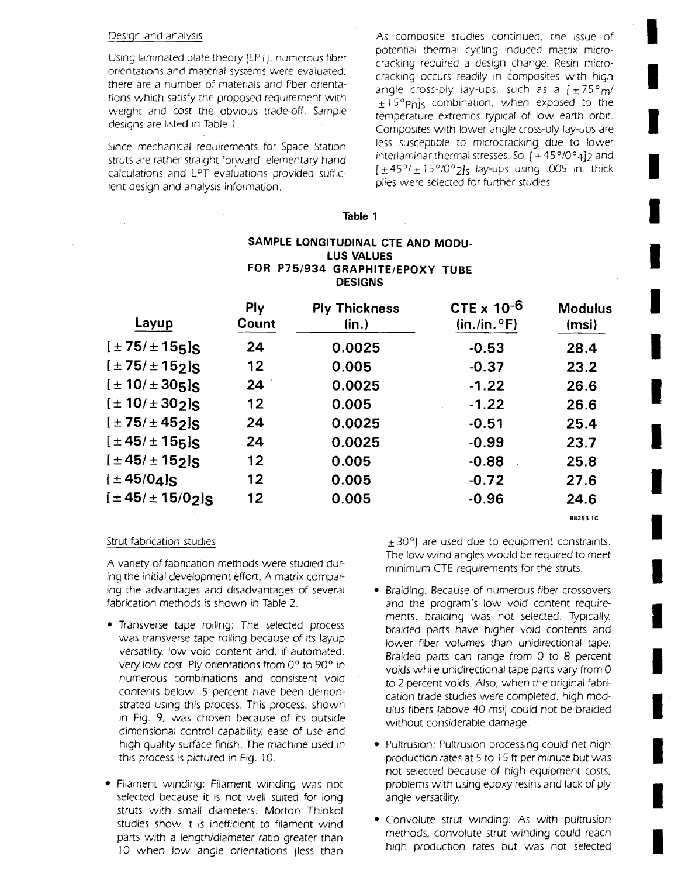#### Design and analysis

Using laminated plate theory !LPT), numerous fiber orientations and material systems were evaluated; there are a number of materials and fiber orientations which satisfy the proposed requirement with weight and cost the obvious trade-off, Sample designs are listed in Table I.

Since mechanical requirements for Space Station struts are rather straight forward, elementary hand calculations and LPT evaluations provided sufficient design and analysis information.

As composite studies continued, the issue of potential thermal cycling induced matrix microcracking required a design change. Resin microcracking occurs readily in composites with high angle cross-ply lay-ups, such as a  $[\pm 75^{\circ}m/$  $\pm$  15°Pnls combination, when exposed to the temperature extremes typical of low earth orbit. Composites with lower angle cross-ply lay-ups are less susceptible to microcracking due to lower interlaminar thermal stresses. So,  $[\pm 45^{\circ}/0^{\circ}4]$  and  $[\pm 45^\circ/\pm 15^\circ/0^\circ$  2<sub>1s</sub> lay-ups using .005 in. thick plies were selected for further studies

I

I

I

I

I

I

I

I

I

I

I

I

I

I

I

I

I

I

I

#### **Table 1**

# **SAMPLE LONGITUDINAL CTE AND MODU-LUS VALUES FOR P75/934 GRAPHITE/EPOXY TUBE DESIGNS**

| Layup                               | Ply<br>Count | <b>Ply Thickness</b><br>(in.) | CTE $\times$ 10 <sup>-6</sup><br>$(in./in.^{\circ}F)$ | <b>Modulus</b><br>(msi) |
|-------------------------------------|--------------|-------------------------------|-------------------------------------------------------|-------------------------|
| $[±75/±155]$ S                      | 24           | 0.0025                        | $-0.53$                                               | 28.4                    |
| $[±75/±152]$ S                      | 12           | 0.005                         | $-0.37$                                               | 23.2                    |
| $[± 10/± 305]$ S                    | 24           | 0.0025                        | $-1.22$                                               | 26.6                    |
| $[± 10/± 302]$ S                    | $12 \,$      | 0.005                         | $-1.22$                                               | 26.6                    |
| $[\pm 75/\pm 45$ <sub>2</sub> $]$ S | 24           | 0.0025                        | $-0.51$                                               | 25.4                    |
| $[±45/±155]$ s                      | 24           | 0.0025                        | $-0.99$                                               | 23.7                    |
| $[±45/±152]$ S                      | 12           | 0.005                         | $-0.88$                                               | 25.8                    |
| $[±45/04]$ s                        | $12 \,$      | 0.005                         | $-0.72$                                               | 27.6                    |
| $[\pm 45/\pm 15/02]$                | 12           | 0.005                         | $-0.96$                                               | 24.6                    |
|                                     |              |                               |                                                       | 88253-1C                |

#### Strut fabrication studies

A variety of fabrication methods were studied during the initial development effort, A matrix comparing the advantages and disadvantages of several fabrication methods is shown in Table 2.

- Transverse tape rolling: The selected process was transverse tape rolling because of its layup versatility. low void content and, if automated, very low cost. Ply orientations from 0° to 90° in numerous combinations and consistent void contents below .5 percent have been demonstrated using this process. This process, shown in Fig. 9, was chosen because of its outside dimensional control capability, ease of use and high quality surface finish. The machine used in this process is pictured in Fig. 10.
- Filament winding: Filament winding was not selected because it is not well suited for long struts with small diameters. Morton Thiokol studies show it is inefficient to filament Wind parts with a length/diameter ratio greater than 10 when low angle orientations (less than

 $\pm$  30°) are used due to equipment constraints. The low wind angles would be required to meet minimum CTE requirements for the struts.

- Braiding: Because of numerous fiber crossovers and the program's low void content requirements, braiding was not selected. Typically, braided parts have higher void contents and lower fiber volumes than unidirectional tape. Braided parts can range from 0 to 8 percent voids while unidirectional tape parts vary from 0 to 2 percent voids. Also, when the original fabrication trade studies were completed, high modulus fibers (above 40 msil could not be braided without considerable damage.
- Pultrusion: Pultrusion processing could net high production rates at 5 to 15ft per minute but was not selected because of high equipment costs, problems with using epoxy resins and lack of ply angle versatility.
- Convolute strut winding: As with pultrusion methods, convolute strut winding could reach high production rates but was not selected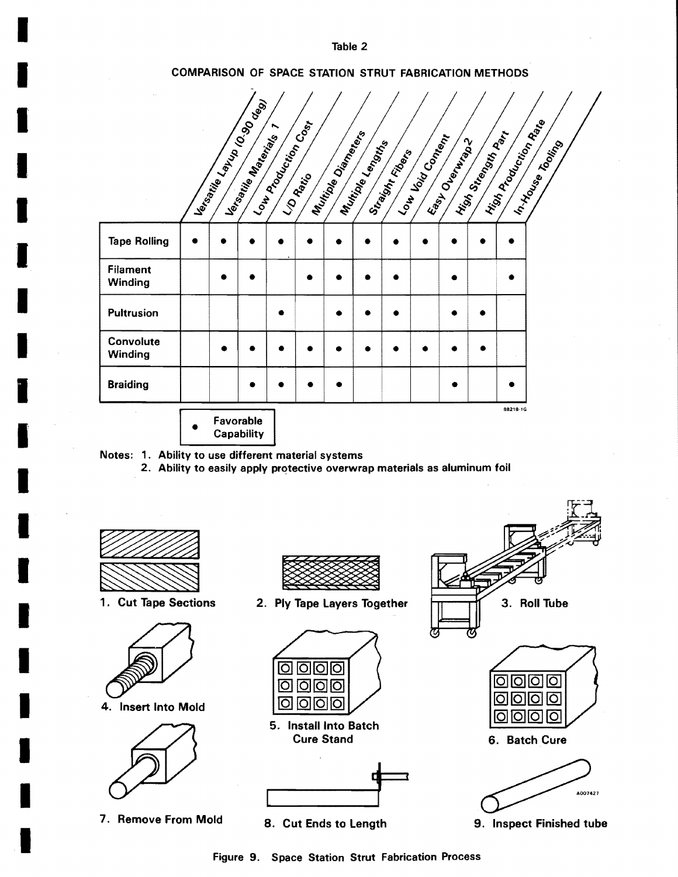Table 2

# COMPARISON OF SPACE STATION STRUT FABRICATION METHODS

|  |                         |                                                                                                                                                                                                                                                                 |                       |                           |                 |                  |                  |                | Tooling                                                     |
|--|-------------------------|-----------------------------------------------------------------------------------------------------------------------------------------------------------------------------------------------------------------------------------------------------------------|-----------------------|---------------------------|-----------------|------------------|------------------|----------------|-------------------------------------------------------------|
|  |                         |                                                                                                                                                                                                                                                                 |                       |                           |                 |                  |                  |                |                                                             |
|  |                         |                                                                                                                                                                                                                                                                 |                       |                           |                 |                  |                  |                |                                                             |
|  |                         |                                                                                                                                                                                                                                                                 |                       |                           |                 |                  |                  |                |                                                             |
|  |                         |                                                                                                                                                                                                                                                                 |                       |                           |                 |                  |                  |                |                                                             |
|  |                         |                                                                                                                                                                                                                                                                 |                       |                           |                 |                  |                  |                |                                                             |
|  |                         |                                                                                                                                                                                                                                                                 |                       |                           |                 |                  |                  |                |                                                             |
|  |                         |                                                                                                                                                                                                                                                                 |                       |                           |                 |                  |                  |                |                                                             |
|  | Favorable<br>Capability | I les régimes de la contraction de la commercial de la commercial de la commercial de la commercial de la commercial de la commercial de la commercial de la commercial de la commercial de la commercial de la commercial de<br>I le <sub>trapic</sub> a Miles | I Law Procession Cost | I Mutical Diamond Reserve | Mutrice Lengths | Straight Fileday | I Journal Bridge | Essy Overlines | I Nigh Rodoction Range<br>History Street, Maple<br>88218-1G |

2. Ability to easily apply protective overwrap materials as aluminum foil



I

I

I

I

I

I

I

I

I

I

I

I

I

I

I

I

I

I

I

1. Cut Tape Sections





7. Remove From Mold



2. Ply Tape Layers Together



5. Install Into Batch Cure Stand



8. Cut Ends to Length





9. Inspect Finished tube

Figure 9. Space Station Strut Fabrication Process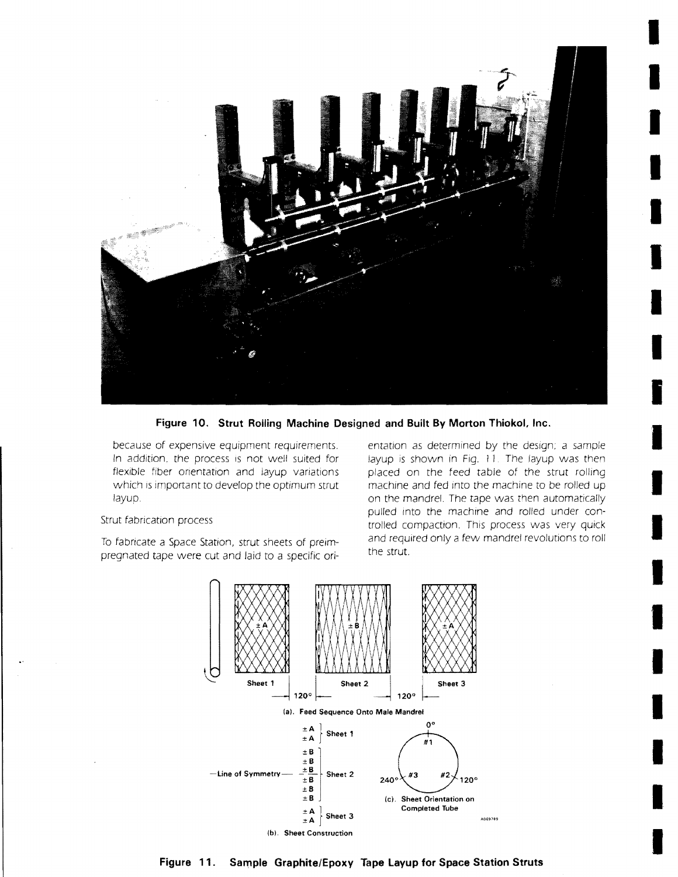

**Figure 10. Strut Rolling Machine Designed and Built By Morton Thiokol, Inc.** 

because of expensive equipment requirements. In addition, the process is not well suited for flexible fiber orientation and layup variations which is important to develop the optimum strut layup.

#### Strut fabrication process

To fabricate a Space Station, strut sheets of preimpregnated tape were cut and laid to a specific orientation as determined by the design; a sample layup is shown in Fig.  $11$ . The layup was then placed on the feed table of the strut rolling machine and fed Into the machine to be rolled up on the mandrel. The tape was then automatically pulled into the machine and rolled under controlled compaction. This process was very quick and required only a few mandrel revolutions to roll the strut

I

I

I

I

I

I

I

I

I

I

I

I

I

I

I

I

I

I

I



**Figure 11. Sample Graphite/Epoxy Tape Layup for Space Station Struts**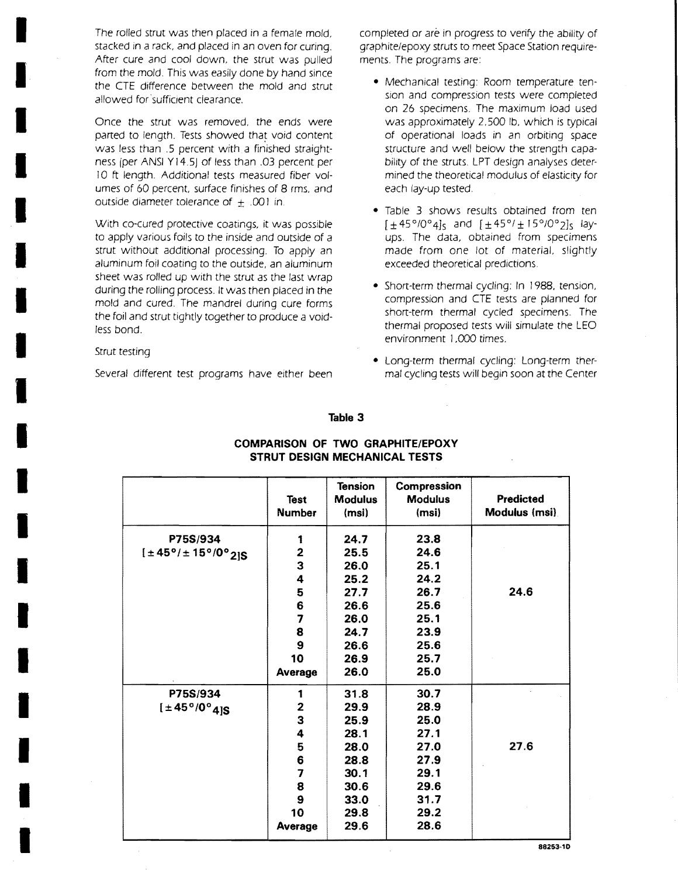The rolled strut was then placed in a female mold, stacked in a rack, and placed in an oven for curing. After cure and cool down, the strut was pulled from the mold. This was easily done by hand since the CTE difference between the mold and strut allowed for sufficient clearance.

Once the strut was removed, the ends were parted to length. Tests showed that void content was less than .5 percent with a finished straightness (per ANSI Y14.5) of less than .03 percent per 10 ft length. Additional tests measured fiber volumes of 60 percent, surface finishes of 8 rms, and outside diameter tolerance of  $\pm$  .001 in.

With co-cured protective coatings, it was possible to apply various foils to the inside and outside of a strut without additional processing. To apply an aluminum foil coating to the outside, an aluminum sheet was rolled up with the strut as the last wrap during the rolling process. It was then placed in the mold and cured. The mandrel during cure forms the foil and strut tightly together to produce a voidless bond.

Strut testing

I

I

I

I

I

I

I

I

I

I

I

I

I

I

I

I

I

I

I

Several different test programs have either been

completed or are in progress to verify the ability of graphite/epoxy struts to meet Space Station requirements. The programs are:

- Mechanical testing: Room temperature tension and compression tests were completed on 26 specimens. The maximum load used was approximately 2,500 Ib, which is typical of operational loads in an orbiting space structure and well below the strength capability of the struts. LPT design analyses determined the theoretical modulus of elasticity for each lay-up tested.
- Table 3 shows results obtained from ten [±45°/0041s and [±45°/± *15°100 21s* layups. The data, obtained from specimens made from one lot of material, slightly exceeded theoretical predictions.
- Short-term thermal cycling: In 1988, tension, compression and CTE tests are planned for short-term thermal cycled specimens. The thermal proposed tests will simulate the LEO environment 1,000 times.
- Long-term thermal cycling: Long-term thermal cycling tests will begin soon at the Center

#### **Table 3**

|                                 | <b>Test</b><br><b>Number</b> | <b>Tension</b><br><b>Modulus</b><br>(msi) | Compression<br><b>Modulus</b><br>(msi) | <b>Predicted</b><br>Modulus (msi) |
|---------------------------------|------------------------------|-------------------------------------------|----------------------------------------|-----------------------------------|
| P75S/934                        | 1                            | 24.7                                      | 23.8                                   |                                   |
| [±45°/±15°/0°2]S                |                              | 25.5                                      | 24.6                                   |                                   |
|                                 | $\frac{2}{3}$                | 26.0                                      | 25.1                                   |                                   |
|                                 | 4                            | 25.2                                      | 24.2                                   |                                   |
|                                 | 5                            | 27.7                                      | 26.7                                   | 24.6                              |
|                                 | 6                            | 26.6                                      | 25.6                                   |                                   |
|                                 | $\overline{\mathbf{z}}$      | 26.0                                      | 25.1                                   |                                   |
|                                 | 8                            | 24.7                                      | 23.9                                   |                                   |
|                                 | 9                            | 26.6                                      | 25.6                                   |                                   |
|                                 | 10                           | 26.9                                      | 25.7                                   |                                   |
|                                 | Average                      | 26.0                                      | 25.0                                   |                                   |
| P75S/934                        | 1                            | 31.8                                      | 30.7                                   |                                   |
| $[1 + 45^{\circ}/0^{\circ}4]$ S | $\mathbf 2$                  | 29.9                                      | 28.9                                   |                                   |
|                                 | 3                            | 25.9                                      | 25.0                                   |                                   |
|                                 | 4                            | 28.1                                      | 27.1                                   |                                   |
|                                 | 5                            | 28.0                                      | 27.0                                   | 27.6                              |
|                                 | 6                            | 28.8                                      | 27.9                                   |                                   |
|                                 | $\overline{7}$               | 30.1                                      | 29.1                                   |                                   |
|                                 | 8                            | 30.6                                      | 29.6                                   |                                   |
|                                 | 9                            | 33.0                                      | 31.7                                   |                                   |
|                                 | 10                           | 29.8                                      | 29.2                                   |                                   |
|                                 | Average                      | 29.6                                      | 28.6                                   |                                   |

# **COMPARISON OF TWO GRAPHITE/EPOXY STRUT DESIGN MECHANICAL TESTS**

**88253-10**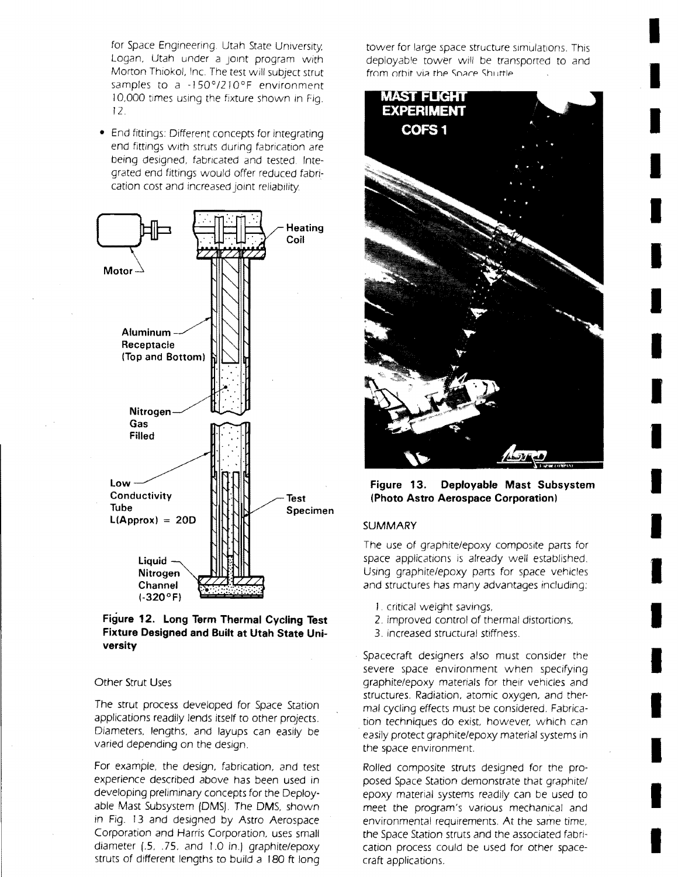for Space Engineering. Utah State University, Logan, Utah under a JOint program with Morton Thiokol, Inc. The test will subject strut samples to a  $-150^{\circ}/210^{\circ}F$  environment 10,000 times using the fixture shown in Fig. r 2.

• End fittings: Different concepts for integrating end fittings with struts during fabrication are being designed, fabricated and tested. Integrated end fittings would offer reduced fabncation cost and increased joint reliability,



## **Figure 12. Long Term Thermal Cycling Test Fixture Designed and Built at Utah State University**

## Other Strut Uses

The strut process developed for Space Station applications readily lends itself to other projects. Diameters. lengths. and layups can easily be varied depending on the design.

For example. the design, fabrication, and test experience described above has been used in developing preliminary concepts for the Deployable Mast Subsystem (OMS). The OMS, shown in Fig. 13 and designed by Astro Aerospace Corporation and Harris Corporation, uses small diameter (.5, .75. and J.O in.) graphite/epoxy struts of different lengths to build a 180 ft long tower for large space structure simulations. This deployab'e tower will be transported to and from orbit via the Soace Shuttle

I

I

I

I

I

I

I

I

I

I

I

I

I

I

I

I

I

I

I



**Figure 13. Deployable Mast Subsystem (Photo Astro Aerospace Corporation)** 

#### **SUMMARY**

The use of graphite/epoxy composite parts for space applications is already well established. USing graphite/epoxy parts for space vehicles and structures has many advantages including:

- I . critical weight savings,
- 2. improved control of thermal distortions,
- 3. increased structural stiffness.
- Spacecraft designers also must consider the severe space environment when specifying graphite/epoxy materials for their vehicles and structures. Radiation, atomic oxygen, and thermal cycling effects must be considered. Fabrication techniques do exist, however, which can easily protect graphite/epoxy material systems in the space environment.

Rolled composite struts designed for the proposed Space Station demonstrate that graphite/ epoxy material systems readily can be used to meet the program's various mechanical and environmental requirements. At the same time, the Space Station struts and the associated fabrication process could be used for other spacecraft applications.